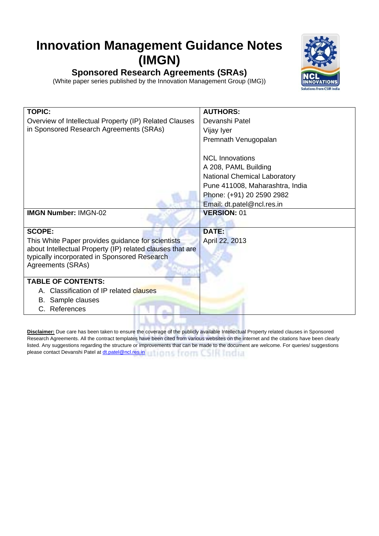## **Innovation Management Guidance Notes (IMGN)**



(White paper series published by the Innovation Management Group (IMG))



| <b>TOPIC:</b>                                             | <b>AUTHORS:</b>                     |
|-----------------------------------------------------------|-------------------------------------|
| Overview of Intellectual Property (IP) Related Clauses    | Devanshi Patel                      |
| in Sponsored Research Agreements (SRAs)                   | Vijay Iyer                          |
|                                                           | Premnath Venugopalan                |
|                                                           |                                     |
|                                                           | <b>NCL Innovations</b>              |
|                                                           | A 208, PAML Building                |
|                                                           | <b>National Chemical Laboratory</b> |
|                                                           | Pune 411008, Maharashtra, India     |
|                                                           | Phone: (+91) 20 2590 2982           |
|                                                           | Email: dt.patel@ncl.res.in          |
| <b>IMGN Number: IMGN-02</b>                               | <b>VERSION: 01</b>                  |
|                                                           |                                     |
| <b>SCOPE:</b>                                             | <b>DATE:</b>                        |
| This White Paper provides guidance for scientists         | April 22, 2013                      |
| about Intellectual Property (IP) related clauses that are |                                     |
| typically incorporated in Sponsored Research              |                                     |
| Agreements (SRAs)                                         |                                     |
| <b>TABLE OF CONTENTS:</b>                                 |                                     |
| A. Classification of IP related clauses                   |                                     |
| <b>B.</b> Sample clauses                                  |                                     |
| References                                                |                                     |
|                                                           |                                     |

**Disclaimer:** Due care has been taken to ensure the coverage of the publicly available Intellectual Property related clauses in Sponsored Research Agreements. All the contract templates have been cited from various websites on the internet and the citations have been clearly listed. Any suggestions regarding the structure or improvements that can be made to the document are welcome. For queries/ suggestions please contact Devanshi Patel at <u>dt.patel@ncl.res.in</u> UNIONS PEDITICS IN ANDELLA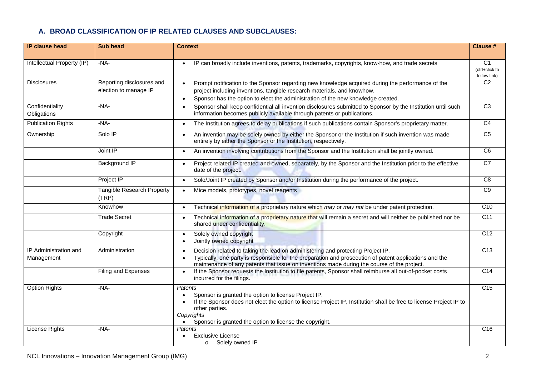## **A. BROAD CLASSIFICATION OF IP RELATED CLAUSES AND SUBCLAUSES:**

| <b>IP clause head</b>               | <b>Sub head</b>                                    | <b>Context</b>                                                                                                                                                                                                                                                                                        | <b>Clause #</b>                                  |
|-------------------------------------|----------------------------------------------------|-------------------------------------------------------------------------------------------------------------------------------------------------------------------------------------------------------------------------------------------------------------------------------------------------------|--------------------------------------------------|
|                                     |                                                    |                                                                                                                                                                                                                                                                                                       |                                                  |
| Intellectual Property (IP)          | $-NA-$                                             | IP can broadly include inventions, patents, trademarks, copyrights, know-how, and trade secrets                                                                                                                                                                                                       | C <sub>1</sub><br>(ctrl+click to<br>follow link) |
| <b>Disclosures</b>                  | Reporting disclosures and<br>election to manage IP | Prompt notification to the Sponsor regarding new knowledge acquired during the performance of the<br>project including inventions, tangible research materials, and knowhow.                                                                                                                          | $\overline{C2}$                                  |
| Confidentiality<br>Obligations      | $-NA-$                                             | Sponsor has the option to elect the administration of the new knowledge created.<br>$\bullet$<br>Sponsor shall keep confidential all invention disclosures submitted to Sponsor by the Institution until such<br>$\bullet$<br>information becomes publicly available through patents or publications. | $\overline{C3}$                                  |
| <b>Publication Rights</b>           | $-NA-$                                             | The Institution agrees to delay publications if such publications contain Sponsor's proprietary matter.<br>$\bullet$                                                                                                                                                                                  | $\overline{C4}$                                  |
| Ownership                           | Solo IP                                            | An invention may be solely owned by either the Sponsor or the Institution if such invention was made<br>$\bullet$<br>entirely by either the Sponsor or the Institution, respectively.                                                                                                                 | C <sub>5</sub>                                   |
|                                     | Joint IP                                           | An invention involving contributions from the Sponsor and the Institution shall be jointly owned.<br>$\bullet$                                                                                                                                                                                        | $\overline{C6}$                                  |
|                                     | <b>Background IP</b>                               | Project related IP created and owned, separately, by the Sponsor and the Institution prior to the effective<br>$\bullet$<br>date of the project.                                                                                                                                                      | C <sub>7</sub>                                   |
|                                     | Project IP                                         | Solo/Joint IP created by Sponsor and/or Institution during the performance of the project.<br>$\bullet$                                                                                                                                                                                               | $\overline{C8}$                                  |
|                                     | <b>Tangible Research Property</b><br>(TRP)         | Mice models, prototypes, novel reagents<br>$\bullet$                                                                                                                                                                                                                                                  | C9                                               |
|                                     | Knowhow                                            | Technical information of a proprietary nature which may or may not be under patent protection.<br>$\bullet$                                                                                                                                                                                           | C10                                              |
|                                     | <b>Trade Secret</b>                                | Technical information of a proprietary nature that will remain a secret and will neither be published nor be<br>shared under confidentiality.                                                                                                                                                         | $\overline{C11}$                                 |
|                                     | Copyright                                          | Solely owned copyright<br>$\bullet$<br>Jointly owned copyright                                                                                                                                                                                                                                        | C <sub>12</sub>                                  |
| IP Administration and<br>Management | Administration                                     | Decision related to taking the lead on administering and protecting Project IP.<br>Typically, one party is responsible for the preparation and prosecution of patent applications and the<br>maintenance of any patents that issue on inventions made during the course of the project.               | C13                                              |
|                                     | Filing and Expenses                                | If the Sponsor requests the Institution to file patents, Sponsor shall reimburse all out-of-pocket costs<br>$\bullet$<br>incurred for the filings.                                                                                                                                                    | C <sub>14</sub>                                  |
| <b>Option Rights</b>                | $-NA-$                                             | Patents<br>Sponsor is granted the option to license Project IP.<br>If the Sponsor does not elect the option to license Project IP, Institution shall be free to license Project IP to<br>other parties.<br>Copyrights<br>Sponsor is granted the option to license the copyright.                      | $\overline{C15}$                                 |
| License Rights                      | $-NA-$                                             | <b>Patents</b><br><b>Exclusive License</b><br>o Solely owned IP                                                                                                                                                                                                                                       | $\overline{C16}$                                 |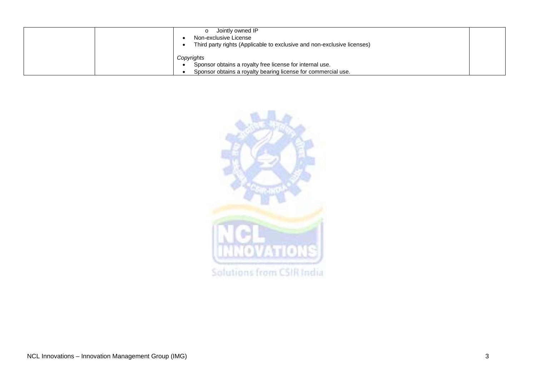| Jointly owned IP<br>Non-exclusive License<br>Third party rights (Applicable to exclusive and non-exclusive licenses) |  |
|----------------------------------------------------------------------------------------------------------------------|--|
| Copyrights                                                                                                           |  |
| Sponsor obtains a royalty free license for internal use.                                                             |  |
| Sponsor obtains a royalty bearing license for commercial use.                                                        |  |

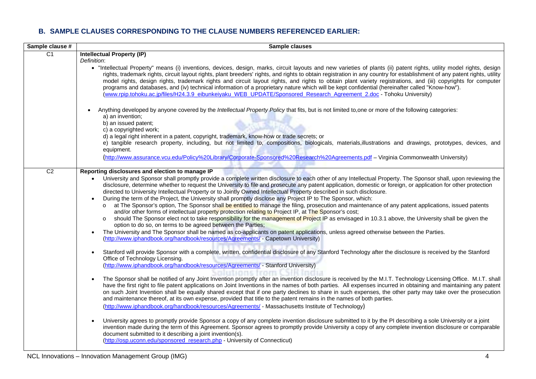## **B. SAMPLE CLAUSES CORRESPONDING TO THE CLAUSE NUMBERS REFERENCED EARLIER:**

<span id="page-3-1"></span><span id="page-3-0"></span>

| Sample clause # | Sample clauses                                                                                                                                                                                                                                                                                                                                                                                                                                                                                                                                                                                                                                                                                                                                                                                                                                                                                                                                                                                                                                                                                                                                                                                                                                                                                                                                                                                                                                                                                                        |
|-----------------|-----------------------------------------------------------------------------------------------------------------------------------------------------------------------------------------------------------------------------------------------------------------------------------------------------------------------------------------------------------------------------------------------------------------------------------------------------------------------------------------------------------------------------------------------------------------------------------------------------------------------------------------------------------------------------------------------------------------------------------------------------------------------------------------------------------------------------------------------------------------------------------------------------------------------------------------------------------------------------------------------------------------------------------------------------------------------------------------------------------------------------------------------------------------------------------------------------------------------------------------------------------------------------------------------------------------------------------------------------------------------------------------------------------------------------------------------------------------------------------------------------------------------|
| $\overline{C1}$ | <b>Intellectual Property (IP)</b><br>Definition:<br>• "Intellectual Property" means (i) inventions, devices, design, marks, circuit layouts and new varieties of plants (ii) patent rights, utility model rights, design<br>rights, trademark rights, circuit layout rights, plant breeders' rights, and rights to obtain registration in any country for establishment of any patent rights, utility<br>model rights, design rights, trademark rights and circuit layout rights, and rights to obtain plant variety registrations, and (iii) copyrights for computer<br>programs and databases, and (iv) technical information of a proprietary nature which will be kept confidential (hereinafter called "Know-how").<br>(www.rpip.tohoku.ac.jp/files/H24.3.9 eibunkeiyaku WEB UPDATE/Sponsored Research Agreement 2.doc - Tohoku University)                                                                                                                                                                                                                                                                                                                                                                                                                                                                                                                                                                                                                                                                      |
|                 | Anything developed by anyone covered by the Intellectual Property Policy that fits, but is not limited to, one or more of the following categories:<br>$\bullet$<br>a) an invention:<br>b) an issued patent;<br>c) a copyrighted work;<br>d) a legal right inherent in a patent, copyright, trademark, know-how or trade secrets; or<br>e) tangible research property, including, but not limited to, compositions, biologicals, materials, illustrations and drawings, prototypes, devices, and<br>equipment.<br>(http://www.assurance.vcu.edu/Policy%20Library/Corporate-Sponsored%20Research%20Agreements.pdf - Virginia Commonwealth University)                                                                                                                                                                                                                                                                                                                                                                                                                                                                                                                                                                                                                                                                                                                                                                                                                                                                  |
| C <sub>2</sub>  | Reporting disclosures and election to manage IP                                                                                                                                                                                                                                                                                                                                                                                                                                                                                                                                                                                                                                                                                                                                                                                                                                                                                                                                                                                                                                                                                                                                                                                                                                                                                                                                                                                                                                                                       |
|                 | University and Sponsor shall promptly provide a complete written disclosure to each other of any Intellectual Property. The Sponsor shall, upon reviewing the<br>disclosure, determine whether to request the University to file and prosecute any patent application, domestic or foreign, or application for other protection<br>directed to University Intellectual Property or to Jointly Owned Intellectual Property described in such disclosure.<br>During the term of the Project, the University shall promptly disclose any Project IP to The Sponsor, which:<br>at The Sponsor's option, The Sponsor shall be entitled to manage the filing, prosecution and maintenance of any patent applications, issued patents<br>and/or other forms of intellectual property protection relating to Project IP, at The Sponsor's cost;<br>should The Sponsor elect not to take responsibility for the management of Project IP as envisaged in 10.3.1 above, the University shall be given the<br>$\circ$<br>option to do so, on terms to be agreed between the Parties;<br>The University and The Sponsor shall be named as co-applicants on patent applications, unless agreed otherwise between the Parties.<br>(http://www.iphandbook.org/handbook/resources/Agreements/ - Capetown University)                                                                                                                                                                                                                  |
|                 | Stanford will provide Sponsor with a complete, written, confidential disclosure of any Stanford Technology after the disclosure is received by the Stanford<br>$\bullet$<br>Office of Technology Licensing.<br>(http://www.iphandbook.org/handbook/resources/Agreements/ - Stanford University)<br>The Sponsor shall be notified of any Joint Invention promptly after an invention disclosure is received by the M.I.T. Technology Licensing Office. M.I.T. shall<br>$\bullet$<br>have the first right to file patent applications on Joint Inventions in the names of both parties. All expenses incurred in obtaining and maintaining any patent<br>on such Joint Invention shall be equally shared except that if one party declines to share in such expenses, the other party may take over the prosecution<br>and maintenance thereof, at its own expense, provided that title to the patent remains in the names of both parties.<br>(http://www.iphandbook.org/handbook/resources/Agreements/ - Massachusetts Institute of Technology)<br>University agrees to promptly provide Sponsor a copy of any complete invention disclosure submitted to it by the PI describing a sole University or a joint<br>invention made during the term of this Agreement. Sponsor agrees to promptly provide University a copy of any complete invention disclosure or comparable<br>document submitted to it describing a joint invention(s).<br>(http://osp.uconn.edu/sponsored_research.php - University of Connecticut) |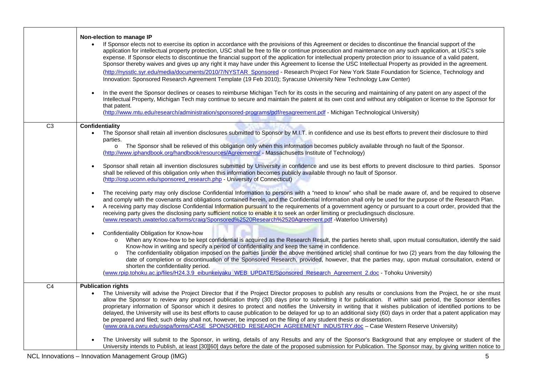<span id="page-4-1"></span><span id="page-4-0"></span>

|                 | Non-election to manage IP<br>If Sponsor elects not to exercise its option in accordance with the provisions of this Agreement or decides to discontinue the financial support of the<br>application for intellectual property protection, USC shall be free to file or continue prosecution and maintenance on any such application, at USC's sole<br>expense. If Sponsor elects to discontinue the financial support of the application for intellectual property protection prior to issuance of a valid patent,<br>Sponsor thereby waives and gives up any right it may have under this Agreement to license the USC Intellectual Property as provided in the agreement.<br>(http://nysstlc.syr.edu/media/documents/2010/7/NYSTAR_Sponsored - Research Project For New York State Foundation for Science, Technology and<br>Innovation: Sponsored Research Agreement Template (19 Feb 2010); Syracuse University New Technology Law Center)<br>In the event the Sponsor declines or ceases to reimburse Michigan Tech for its costs in the securing and maintaining of any patent on any aspect of the<br>Intellectual Property, Michigan Tech may continue to secure and maintain the patent at its own cost and without any obligation or license to the Sponsor for<br>that patent.<br>(http://www.mtu.edu/research/administration/sponsored-programs/pdf/resagreement.pdf - Michigan Technological University)                                                                                                                                         |
|-----------------|---------------------------------------------------------------------------------------------------------------------------------------------------------------------------------------------------------------------------------------------------------------------------------------------------------------------------------------------------------------------------------------------------------------------------------------------------------------------------------------------------------------------------------------------------------------------------------------------------------------------------------------------------------------------------------------------------------------------------------------------------------------------------------------------------------------------------------------------------------------------------------------------------------------------------------------------------------------------------------------------------------------------------------------------------------------------------------------------------------------------------------------------------------------------------------------------------------------------------------------------------------------------------------------------------------------------------------------------------------------------------------------------------------------------------------------------------------------------------------------------------------------------------------------------------------------|
| $\overline{C3}$ | Confidentiality<br>The Sponsor shall retain all invention disclosures submitted to Sponsor by M.I.T. in confidence and use its best efforts to prevent their disclosure to third<br>parties.<br>o The Sponsor shall be relieved of this obligation only when this information becomes publicly available through no fault of the Sponsor.<br>(http://www.iphandbook.org/handbook/resources/Agreements/ - Massachusetts Institute of Technology)<br>Sponsor shall retain all invention disclosures submitted by University in confidence and use its best efforts to prevent disclosure to third parties. Sponsor<br>shall be relieved of this obligation only when this information becomes publicly available through no fault of Sponsor.<br>(http://osp.uconn.edu/sponsored_research.php - University of Connecticut)<br>The receiving party may only disclose Confidential Information to persons with a "need to know" who shall be made aware of, and be required to observe<br>and comply with the covenants and obligations contained herein, and the Confidential Information shall only be used for the purpose of the Research Plan.<br>A receiving party may disclose Confidential Information pursuant to the requirements of a government agency or pursuant to a court order, provided that the<br>receiving party gives the disclosing party sufficient notice to enable it to seek an order limiting or precludingsuch disclosure.<br>(www.research.uwaterloo.ca/forms/craig/Sponsored%2520Research%2520Agreement.pdf - Waterloo University) |
|                 | Confidentiality Obligation for Know-how<br>When any Know-how to be kept confidential is acquired as the Research Result, the parties hereto shall, upon mutual consultation, identify the said<br>$\circ$<br>Know-how in writing and specify a period of confidentiality and keep the same in confidence.<br>The confidentiality obligation imposed on the parties [under the above mentioned article] shall continue for two (2) years from the day following the<br>date of completion or discontinuation of the Sponsored Research, provided, however, that the parties may, upon mutual consultation, extend or<br>shorten the confidentiality period.<br>(www.rpip.tohoku.ac.jp/files/H24.3.9 eibunkeiyaku WEB UPDATE/Sponsored Research Agreement 2.doc - Tohoku University)                                                                                                                                                                                                                                                                                                                                                                                                                                                                                                                                                                                                                                                                                                                                                                            |
| $\overline{C4}$ | <b>Publication rights</b><br>The University will advise the Project Director that if the Project Director proposes to publish any results or conclusions from the Project, he or she must<br>allow the Sponsor to review any proposed publication thirty (30) days prior to submitting it for publication. If within said period, the Sponsor identifies<br>proprietary information of Sponsor which it desires to protect and notifies the University in writing that it wishes publication of identified portions to be<br>delayed, the University will use its best efforts to cause publication to be delayed for up to an additional sixty (60) days in order that a patent application may<br>be prepared and filed; such delay shall not, however, be imposed on the filing of any student thesis or dissertation.<br>(www.ora.ra.cwru.edu/ospa/forms/CASE_SPONSORED_RESEARCH_AGREEMENT_INDUSTRY.doc - Case Western Reserve University)<br>The University will submit to the Sponsor, in writing, details of any Results and any of the Sponsor's Background that any employee or student of the<br>University intends to Publish, at least [30][60] days before the date of the proposed submission for Publication. The Sponsor may, by giving written notice to                                                                                                                                                                                                                                                                                     |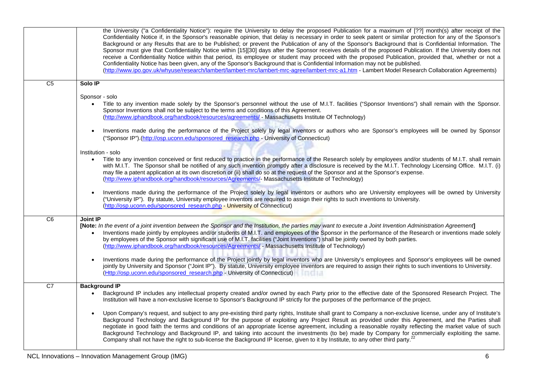<span id="page-5-2"></span><span id="page-5-1"></span><span id="page-5-0"></span>

|                 | the University ("a Confidentiality Notice"): require the University to delay the proposed Publication for a maximum of [??] month(s) after receipt of the<br>Confidentiality Notice if, in the Sponsor's reasonable opinion, that delay is necessary in order to seek patent or similar protection for any of the Sponsor's<br>Background or any Results that are to be Published; or prevent the Publication of any of the Sponsor's Background that is Confidential Information. The<br>Sponsor must give that Confidentiality Notice within [15][30] days after the Sponsor receives details of the proposed Publication. If the University does not<br>receive a Confidentiality Notice within that period, its employee or student may proceed with the proposed Publication, provided that, whether or not a<br>Confidentiality Notice has been given, any of the Sponsor's Background that is Confidential Information may not be published.<br>(http://www.ipo.gov.uk/whyuse/research/lambert/lambert-mrc/lambert-mrc-agree/lambert-mrc-a1.htm - Lambert Model Research Collaboration Agreements) |
|-----------------|-----------------------------------------------------------------------------------------------------------------------------------------------------------------------------------------------------------------------------------------------------------------------------------------------------------------------------------------------------------------------------------------------------------------------------------------------------------------------------------------------------------------------------------------------------------------------------------------------------------------------------------------------------------------------------------------------------------------------------------------------------------------------------------------------------------------------------------------------------------------------------------------------------------------------------------------------------------------------------------------------------------------------------------------------------------------------------------------------------------|
| C <sub>5</sub>  | Solo IP                                                                                                                                                                                                                                                                                                                                                                                                                                                                                                                                                                                                                                                                                                                                                                                                                                                                                                                                                                                                                                                                                                   |
|                 | Sponsor - solo<br>Title to any invention made solely by the Sponsor's personnel without the use of M.I.T. facilities ("Sponsor Inventions") shall remain with the Sponsor.<br>$\bullet$<br>Sponsor Inventions shall not be subject to the terms and conditions of this Agreement.<br>(http://www.iphandbook.org/handbook/resources/agreements/ - Massachusetts Institute Of Technology)                                                                                                                                                                                                                                                                                                                                                                                                                                                                                                                                                                                                                                                                                                                   |
|                 | Inventions made during the performance of the Project solely by legal inventors or authors who are Sponsor's employees will be owned by Sponsor<br>$\bullet$<br>("Sponsor IP").(http://osp.uconn.edu/sponsored_research.php - University of Connecticut)                                                                                                                                                                                                                                                                                                                                                                                                                                                                                                                                                                                                                                                                                                                                                                                                                                                  |
|                 | Institution - solo                                                                                                                                                                                                                                                                                                                                                                                                                                                                                                                                                                                                                                                                                                                                                                                                                                                                                                                                                                                                                                                                                        |
|                 | Title to any invention conceived or first reduced to practice in the performance of the Research solely by employees and/or students of M.I.T. shall remain<br>with M.I.T. The Sponsor shall be notified of any such invention promptly after a disclosure is received by the M.I.T. Technology Licensing Office. M.I.T. (i)<br>may file a patent application at its own discretion or (ii) shall do so at the request of the Sponsor and at the Sponsor's expense.<br>(http://www.iphandbook.org/handbook/resources/Agreements/- Massachusetts Institute of Technology)                                                                                                                                                                                                                                                                                                                                                                                                                                                                                                                                  |
|                 | Inventions made during the performance of the Project solely by legal inventors or authors who are University employees will be owned by University<br>("University IP"). By statute, University employee inventors are required to assign their rights to such inventions to University.<br>(http://osp.uconn.edu/sponsored_research.php - University of Connecticut)                                                                                                                                                                                                                                                                                                                                                                                                                                                                                                                                                                                                                                                                                                                                    |
| C6              | Joint IP<br>[Note: In the event of a joint invention between the Sponsor and the Institution, the parties may want to execute a Joint Invention Administration Agreement]<br>Inventions made jointly by employees and/or students of M.I.T. and employees of the Sponsor in the performance of the Research or inventions made solely<br>$\bullet$<br>by employees of the Sponsor with significant use of M.I.T. facilities ("Joint Inventions") shall be jointly owned by both parties.<br>(http://www.iphandbook.org/handbook/resources/Agreements/ - Massachusetts Institute of Technology)                                                                                                                                                                                                                                                                                                                                                                                                                                                                                                            |
|                 | Inventions made during the performance of the Project jointly by legal inventors who are University's employees and Sponsor's employees will be owned<br>jointly by University and Sponsor ("Joint IP"). By statute, University employee inventors are required to assign their rights to such inventions to University.<br>(Http://osp.uconn.edu/sponsored_research.php - University of Connecticut)                                                                                                                                                                                                                                                                                                                                                                                                                                                                                                                                                                                                                                                                                                     |
| $\overline{C7}$ | <b>Background IP</b>                                                                                                                                                                                                                                                                                                                                                                                                                                                                                                                                                                                                                                                                                                                                                                                                                                                                                                                                                                                                                                                                                      |
|                 | Background IP includes any intellectual property created and/or owned by each Party prior to the effective date of the Sponsored Research Project. The<br>Institution will have a non-exclusive license to Sponsor's Background IP strictly for the purposes of the performance of the project.                                                                                                                                                                                                                                                                                                                                                                                                                                                                                                                                                                                                                                                                                                                                                                                                           |
|                 | Upon Company's request, and subject to any pre-existing third party rights, Institute shall grant to Company a non-exclusive license, under any of Institute's<br>Background Technology and Background IP for the purpose of exploiting any Project Result as provided under this Agreement, and the Parties shall<br>negotiate in good faith the terms and conditions of an appropriate license agreement, including a reasonable royalty reflecting the market value of such<br>Background Technology and Background IP, and taking into account the investments (to be) made by Company for commercially exploiting the same.<br>Company shall not have the right to sub-license the Background IP license, given to it by Institute, to any other third party. <sup>22</sup>                                                                                                                                                                                                                                                                                                                          |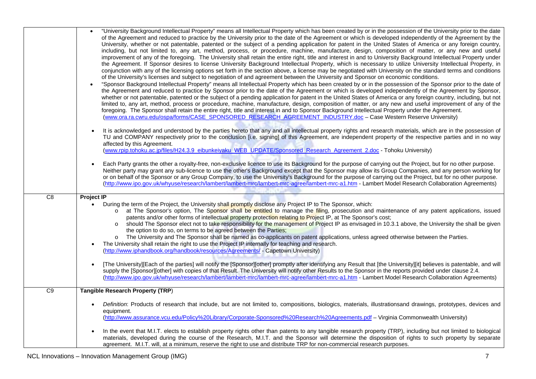<span id="page-6-1"></span><span id="page-6-0"></span>

|                 | "University Background Intellectual Property" means all Intellectual Property which has been created by or in the possession of the University prior to the date<br>of the Agreement and reduced to practice by the University prior to the date of the Agreement or which is developed independently of the Agreement by the<br>University, whether or not patentable, patented or the subject of a pending application for patent in the United States of America or any foreign country,<br>including, but not limited to, any art, method, process, or procedure, machine, manufacture, design, composition of matter, or any new and useful<br>improvement of any of the foregoing. The University shall retain the entire right, title and interest in and to University Background Intellectual Property under<br>the Agreement. If Sponsor desires to license University Background Intellectual Property, which is necessary to utilize University Intellectual Property, in<br>conjunction with any of the licensing options set forth in the section above, a license may be negotiated with University on the standard terms and conditions<br>of the University's licenses and subject to negotiation of and agreement between the University and Sponsor on economic conditions.<br>"Sponsor Background Intellectual Property" means all Intellectual Property which has been created by or in the possession of the Sponsor prior to the date of<br>$\bullet$<br>the Agreement and reduced to practice by Sponsor prior to the date of the Agreement or which is developed independently of the Agreement by Sponsor,<br>whether or not patentable, patented or the subject of a pending application for patent in the United States of America or any foreign country, including, but not<br>limited to, any art, method, process or procedure, machine, manufacture, design, composition of matter, or any new and useful improvement of any of the<br>foregoing. The Sponsor shall retain the entire right, title and interest in and to Sponsor Background Intellectual Property under the Agreement.<br>(www.ora.ra.cwru.edu/ospa/forms/CASE_SPONSORED_RESEARCH_AGREEMENT_INDUSTRY.doc - Case Western Reserve University) |
|-----------------|-----------------------------------------------------------------------------------------------------------------------------------------------------------------------------------------------------------------------------------------------------------------------------------------------------------------------------------------------------------------------------------------------------------------------------------------------------------------------------------------------------------------------------------------------------------------------------------------------------------------------------------------------------------------------------------------------------------------------------------------------------------------------------------------------------------------------------------------------------------------------------------------------------------------------------------------------------------------------------------------------------------------------------------------------------------------------------------------------------------------------------------------------------------------------------------------------------------------------------------------------------------------------------------------------------------------------------------------------------------------------------------------------------------------------------------------------------------------------------------------------------------------------------------------------------------------------------------------------------------------------------------------------------------------------------------------------------------------------------------------------------------------------------------------------------------------------------------------------------------------------------------------------------------------------------------------------------------------------------------------------------------------------------------------------------------------------------------------------------------------------------------------------------------------------------------------------------------------------------------------------|
|                 | It is acknowledged and understood by the parties hereto that any and all intellectual property rights and research materials, which are in the possession of<br>TU and COMPANY respectively prior to the conclusion [i.e. signing] of this Agreement, are independent property of the respective parties and in no way<br>affected by this Agreement.<br>(www.rpip.tohoku.ac.jp/files/H24.3.9 eibunkeiyaku WEB UPDATE/Sponsored Research Agreement 2.doc - Tohoku University)                                                                                                                                                                                                                                                                                                                                                                                                                                                                                                                                                                                                                                                                                                                                                                                                                                                                                                                                                                                                                                                                                                                                                                                                                                                                                                                                                                                                                                                                                                                                                                                                                                                                                                                                                                 |
|                 | Each Party grants the other a royalty-free, non-exclusive licence to use its Background for the purpose of carrying out the Project, but for no other purpose.<br>Neither party may grant any sub-licence to use the other's Background except that the Sponsor may allow its Group Companies, and any person working for<br>or on behalf of the Sponsor or any Group Company, to use the University's Background for the purpose of carrying out the Project, but for no other purpose.<br>(http://www.ipo.gov.uk/whyuse/research/lambert/lambert-mrc/lambert-mrc-agree/lambert-mrc-a1.htm - Lambert Model Research Collaboration Agreements)                                                                                                                                                                                                                                                                                                                                                                                                                                                                                                                                                                                                                                                                                                                                                                                                                                                                                                                                                                                                                                                                                                                                                                                                                                                                                                                                                                                                                                                                                                                                                                                                |
| $\overline{C8}$ | <b>Project IP</b><br>During the term of the Project, the University shall promptly disclose any Project IP to The Sponsor, which:<br>at The Sponsor's option, The Sponsor shall be entitled to manage the filing, prosecution and maintenance of any patent applications, issued<br>patents and/or other forms of intellectual property protection relating to Project IP, at The Sponsor's cost;<br>should The Sponsor elect not to take responsibility for the management of Project IP as envisaged in 10.3.1 above, the University the shall be given<br>the option to do so, on terms to be agreed between the Parties;<br>The University and The Sponsor shall be named as co-applicants on patent applications, unless agreed otherwise between the Parties.<br>$\circ$<br>The University shall retain the right to use the Project IP internally for teaching and research.<br>(http://www.iphandbook.org/handbook/resources/Agreements/ - Capetown University)                                                                                                                                                                                                                                                                                                                                                                                                                                                                                                                                                                                                                                                                                                                                                                                                                                                                                                                                                                                                                                                                                                                                                                                                                                                                       |
|                 | [The University][Each of the parties] will notify the [Sponsor][other] promptly after identifying any Result that [the University][it] believes is patentable, and will<br>supply the [Sponsor][other] with copies of that Result. The University will notify other Results to the Sponsor in the reports provided under clause 2.4.<br>(http://www.ipo.gov.uk/whyuse/research/lambert/lambert-mrc/lambert-mrc-agree/lambert-mrc-a1.htm - Lambert Model Research Collaboration Agreements)                                                                                                                                                                                                                                                                                                                                                                                                                                                                                                                                                                                                                                                                                                                                                                                                                                                                                                                                                                                                                                                                                                                                                                                                                                                                                                                                                                                                                                                                                                                                                                                                                                                                                                                                                    |
| C9              | <b>Tangible Research Property (TRP)</b>                                                                                                                                                                                                                                                                                                                                                                                                                                                                                                                                                                                                                                                                                                                                                                                                                                                                                                                                                                                                                                                                                                                                                                                                                                                                                                                                                                                                                                                                                                                                                                                                                                                                                                                                                                                                                                                                                                                                                                                                                                                                                                                                                                                                       |
|                 | Definition: Products of research that include, but are not limited to, compositions, biologics, materials, illustrationsand drawings, prototypes, devices and<br>equipment.<br>(http://www.assurance.vcu.edu/Policy%20Library/Corporate-Sponsored%20Research%20Agreements.pdf - Virginia Commonwealth University)                                                                                                                                                                                                                                                                                                                                                                                                                                                                                                                                                                                                                                                                                                                                                                                                                                                                                                                                                                                                                                                                                                                                                                                                                                                                                                                                                                                                                                                                                                                                                                                                                                                                                                                                                                                                                                                                                                                             |
|                 | In the event that M.I.T. elects to establish property rights other than patents to any tangible research property (TRP), including but not limited to biological<br>$\bullet$<br>materials, developed during the course of the Research, M.I.T. and the Sponsor will determine the disposition of rights to such property by separate<br>agreement. M.I.T. will, at a minimum, reserve the right to use and distribute TRP for non-commercial research purposes.                                                                                                                                                                                                                                                                                                                                                                                                                                                                                                                                                                                                                                                                                                                                                                                                                                                                                                                                                                                                                                                                                                                                                                                                                                                                                                                                                                                                                                                                                                                                                                                                                                                                                                                                                                              |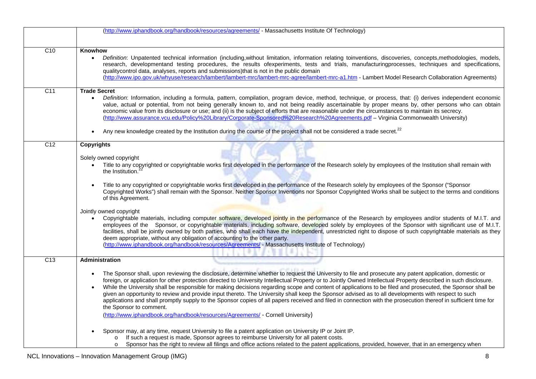<span id="page-7-3"></span><span id="page-7-2"></span><span id="page-7-1"></span><span id="page-7-0"></span>

|                  | (http://www.iphandbook.org/handbook/resources/agreements/ - Massachusetts Institute Of Technology)                                                                                                                                                                                                                                                                                                                                                                                                                                                                                                                                                                                                                                                                                                                                                                                                                                                                                                                                                                                                                                                                                                                                                |
|------------------|---------------------------------------------------------------------------------------------------------------------------------------------------------------------------------------------------------------------------------------------------------------------------------------------------------------------------------------------------------------------------------------------------------------------------------------------------------------------------------------------------------------------------------------------------------------------------------------------------------------------------------------------------------------------------------------------------------------------------------------------------------------------------------------------------------------------------------------------------------------------------------------------------------------------------------------------------------------------------------------------------------------------------------------------------------------------------------------------------------------------------------------------------------------------------------------------------------------------------------------------------|
|                  |                                                                                                                                                                                                                                                                                                                                                                                                                                                                                                                                                                                                                                                                                                                                                                                                                                                                                                                                                                                                                                                                                                                                                                                                                                                   |
| C10              | Knowhow<br>Definition: Unpatented technical information (including, without limitation, information relating toinventions, discoveries, concepts, methodologies, models,<br>$\bullet$<br>research, developmentand testing procedures, the results ofexperiments, tests and trials, manufacturingprocesses, techniques and specifications,<br>qualitycontrol data, analyses, reports and submissions)that is not in the public domain                                                                                                                                                                                                                                                                                                                                                                                                                                                                                                                                                                                                                                                                                                                                                                                                              |
|                  | (http://www.ipo.gov.uk/whyuse/research/lambert/lambert-mrc/lambert-mrc-agree/lambert-mrc-a1.htm - Lambert Model Research Collaboration Agreements)                                                                                                                                                                                                                                                                                                                                                                                                                                                                                                                                                                                                                                                                                                                                                                                                                                                                                                                                                                                                                                                                                                |
| C <sub>11</sub>  | <b>Trade Secret</b><br>Definition: Information, including a formula, pattern, compilation, program device, method, technique, or process, that: (i) derives independent economic<br>value, actual or potential, from not being generally known to, and not being readily ascertainable by proper means by, other persons who can obtain<br>economic value from its disclosure or use; and (ii) is the subject of efforts that are reasonable under the circumstances to maintain its secrecy.<br>(http://www.assurance.vcu.edu/Policy%20Library/Corporate-Sponsored%20Research%20Agreements.pdf - Virginia Commonwealth University)<br>Any new knowledge created by the Institution during the course of the project shall not be considered a trade secret. <sup>22</sup>                                                                                                                                                                                                                                                                                                                                                                                                                                                                        |
| C <sub>12</sub>  | <b>Copyrights</b>                                                                                                                                                                                                                                                                                                                                                                                                                                                                                                                                                                                                                                                                                                                                                                                                                                                                                                                                                                                                                                                                                                                                                                                                                                 |
|                  | Solely owned copyright<br>Title to any copyrighted or copyrightable works first developed in the performance of the Research solely by employees of the Institution shall remain with<br>the Institution.<br>Title to any copyrighted or copyrightable works first developed in the performance of the Research solely by employees of the Sponsor ("Sponsor<br>Copyrighted Works") shall remain with the Sponsor. Neither Sponsor Inventions nor Sponsor Copyrighted Works shall be subject to the terms and conditions<br>of this Agreement.<br>Jointly owned copyright<br>Copyrightable materials, including computer software, developed jointly in the performance of the Research by employees and/or students of M.I.T. and<br>employees of the Sponsor, or copyrightable materials, including software, developed solely by employees of the Sponsor with significant use of M.I.T.<br>facilities, shall be jointly owned by both parties, who shall each have the independent, unrestricted right to dispose of such copyrightable materials as they<br>deem appropriate, without any obligation of accounting to the other party.<br>(http://www.iphandbook.org/handbook/resources/Agreements/ - Massachusetts Institute of Technology) |
| $\overline{C13}$ | <b>Administration</b>                                                                                                                                                                                                                                                                                                                                                                                                                                                                                                                                                                                                                                                                                                                                                                                                                                                                                                                                                                                                                                                                                                                                                                                                                             |
|                  | The Sponsor shall, upon reviewing the disclosure, determine whether to request the University to file and prosecute any patent application, domestic or<br>$\bullet$<br>foreign, or application for other protection directed to University Intellectual Property or to Jointly Owned Intellectual Property described in such disclosure.<br>While the University shall be responsible for making decisions regarding scope and content of applications to be filed and prosecuted, the Sponsor shall be<br>given an opportunity to review and provide input thereto. The University shall keep the Sponsor advised as to all developments with respect to such<br>applications and shall promptly supply to the Sponsor copies of all papers received and filed in connection with the prosecution thereof in sufficient time for<br>the Sponsor to comment.<br>(http://www.iphandbook.org/handbook/resources/Agreements/ - Cornell University)                                                                                                                                                                                                                                                                                                  |
|                  | Sponsor may, at any time, request University to file a patent application on University IP or Joint IP.<br>If such a request is made, Sponsor agrees to reimburse University for all patent costs.<br>Sponsor has the right to review all filings and office actions related to the patent applications, provided, however, that in an emergency when<br>$\circ$                                                                                                                                                                                                                                                                                                                                                                                                                                                                                                                                                                                                                                                                                                                                                                                                                                                                                  |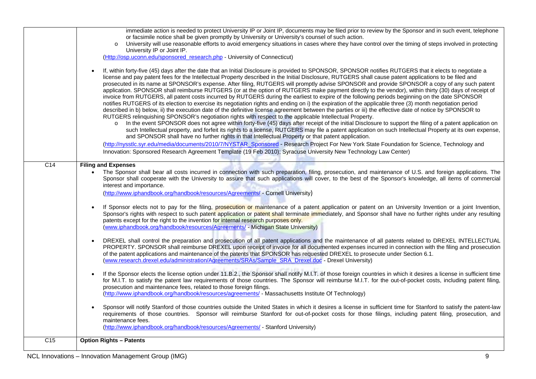<span id="page-8-1"></span><span id="page-8-0"></span>

|                 | immediate action is needed to protect University IP or Joint IP, documents may be filed prior to review by the Sponsor and in such event, telephone<br>or facsimile notice shall be given promptly by University or University's counsel of such action.<br>University will use reasonable efforts to avoid emergency situations in cases where they have control over the timing of steps involved in protecting<br>University IP or Joint IP.<br>(Http://osp.uconn.edu/sponsored_research.php - University of Connecticut)<br>If, within forty-five (45) days after the date that an Initial Disclosure is provided to SPONSOR, SPONSOR notifies RUTGERS that it elects to negotiate a<br>license and pay patent fees for the Intellectual Property described in the Initial Disclosure, RUTGERS shall cause patent applications to be filed and<br>prosecuted in its name at SPONSOR's expense. After filing, RUTGERS will promptly advise SPONSOR and provide SPONSOR a copy of any such patent<br>application. SPONSOR shall reimburse RUTGERS (or at the option of RUTGERS make payment directly to the vendor), within thirty (30) days of receipt of<br>invoice from RUTGERS, all patent costs incurred by RUTGERS during the earliest to expire of the following periods beginning on the date SPONSOR<br>notifies RUTGERS of its election to exercise its negotiation rights and ending on i) the expiration of the applicable three (3) month negotiation period<br>described in b) below, ii) the execution date of the definitive license agreement between the parties or iii) the effective date of notice by SPONSOR to |
|-----------------|-----------------------------------------------------------------------------------------------------------------------------------------------------------------------------------------------------------------------------------------------------------------------------------------------------------------------------------------------------------------------------------------------------------------------------------------------------------------------------------------------------------------------------------------------------------------------------------------------------------------------------------------------------------------------------------------------------------------------------------------------------------------------------------------------------------------------------------------------------------------------------------------------------------------------------------------------------------------------------------------------------------------------------------------------------------------------------------------------------------------------------------------------------------------------------------------------------------------------------------------------------------------------------------------------------------------------------------------------------------------------------------------------------------------------------------------------------------------------------------------------------------------------------------------------------------------------------------------------------------------------------------------|
|                 | RUTGERS relinquishing SPONSOR's negotiation rights with respect to the applicable Intellectual Property.<br>In the event SPONSOR does not agree within forty-five (45) days after receipt of the initial Disclosure to support the filing of a patent application on<br>such Intellectual property, and forfeit its rights to a license, RUTGERS may file a patent application on such Intellectual Property at its own expense,<br>and SPONSOR shall have no further rights in that Intellectual Property or that patent application.                                                                                                                                                                                                                                                                                                                                                                                                                                                                                                                                                                                                                                                                                                                                                                                                                                                                                                                                                                                                                                                                                                  |
|                 | (http://nysstlc.syr.edu/media/documents/2010/7/NYSTAR_Sponsored - Research Project For New York State Foundation for Science, Technology and<br>Innovation: Sponsored Research Agreement Template (19 Feb 2010); Syracuse University New Technology Law Center)                                                                                                                                                                                                                                                                                                                                                                                                                                                                                                                                                                                                                                                                                                                                                                                                                                                                                                                                                                                                                                                                                                                                                                                                                                                                                                                                                                         |
| C <sub>14</sub> | <b>Filing and Expenses</b>                                                                                                                                                                                                                                                                                                                                                                                                                                                                                                                                                                                                                                                                                                                                                                                                                                                                                                                                                                                                                                                                                                                                                                                                                                                                                                                                                                                                                                                                                                                                                                                                              |
|                 | The Sponsor shall bear all costs incurred in connection with such preparation, filing, prosecution, and maintenance of U.S. and foreign applications. The<br>Sponsor shall cooperate with the University to assure that such applications will cover, to the best of the Sponsor's knowledge, all items of commercial<br>interest and importance.<br>(http://www.iphandbook.org/handbook/resources/Agreements/ - Cornell University)                                                                                                                                                                                                                                                                                                                                                                                                                                                                                                                                                                                                                                                                                                                                                                                                                                                                                                                                                                                                                                                                                                                                                                                                    |
|                 | If Sponsor elects not to pay for the filing, prosecution or maintenance of a patent application or patent on an University Invention or a joint Invention,<br>Sponsor's rights with respect to such patent application or patent shall terminate immediately, and Sponsor shall have no further rights under any resulting<br>patents except for the right to the invention for internal research purposes only.<br>(www.iphandbook.org/handbook/resources/Agreements/ - Michigan State University)                                                                                                                                                                                                                                                                                                                                                                                                                                                                                                                                                                                                                                                                                                                                                                                                                                                                                                                                                                                                                                                                                                                                     |
|                 | DREXEL shall control the preparation and prosecution of all patent applications and the maintenance of all patents related to DREXEL INTELLECTUAL<br>$\bullet$<br>PROPERTY. SPONSOR shall reimburse DREXEL upon receipt of invoice for all documented expenses incurred in connection with the filing and prosecution<br>of the patent applications and maintenance of the patents that SPONSOR has requested DREXEL to prosecute under Section 6.1.<br>(www.research.drexel.edu/administration/Agreements/SRAs/Sample SRA Drexel.doc - Drexel University)                                                                                                                                                                                                                                                                                                                                                                                                                                                                                                                                                                                                                                                                                                                                                                                                                                                                                                                                                                                                                                                                              |
|                 | If the Sponsor elects the license option under 11.B.2., the Sponsor shall notify M.I.T. of those foreign countries in which it desires a license in sufficient time<br>for M.I.T. to satisfy the patent law requirements of those countries. The Sponsor will reimburse M.I.T. for the out-of-pocket costs, including patent filing,<br>prosecution and maintenance fees, related to those foreign filings.<br>(http://www.iphandbook.org/handbook/resources/agreements/ - Massachusetts Institute Of Technology)                                                                                                                                                                                                                                                                                                                                                                                                                                                                                                                                                                                                                                                                                                                                                                                                                                                                                                                                                                                                                                                                                                                       |
|                 | Sponsor will notify Stanford of those countries outside the United States in which it desires a license in sufficient time for Stanford to satisfy the patent-law<br>requirements of those countries. Sponsor will reimburse Stanford for out-of-pocket costs for those filings, including patent filing, prosecution, and<br>maintenance fees.<br>(http://www.iphandbook.org/handbook/resources/Agreements/ - Stanford University)                                                                                                                                                                                                                                                                                                                                                                                                                                                                                                                                                                                                                                                                                                                                                                                                                                                                                                                                                                                                                                                                                                                                                                                                     |
| C <sub>15</sub> | <b>Option Rights - Patents</b>                                                                                                                                                                                                                                                                                                                                                                                                                                                                                                                                                                                                                                                                                                                                                                                                                                                                                                                                                                                                                                                                                                                                                                                                                                                                                                                                                                                                                                                                                                                                                                                                          |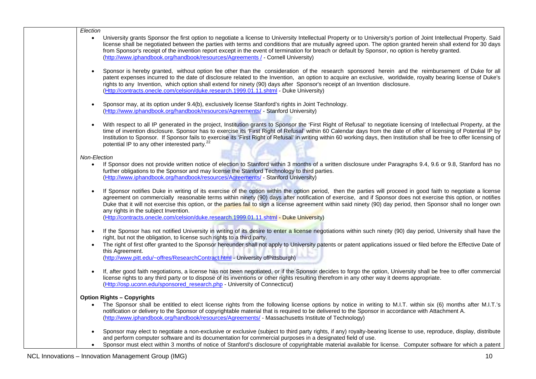| Election                                                                                                                                                                                                                                                                                                                                                                                                                                                                                                                                                                                                                             |  |
|--------------------------------------------------------------------------------------------------------------------------------------------------------------------------------------------------------------------------------------------------------------------------------------------------------------------------------------------------------------------------------------------------------------------------------------------------------------------------------------------------------------------------------------------------------------------------------------------------------------------------------------|--|
| University grants Sponsor the first option to negotiate a license to University Intellectual Property or to University's portion of Joint Intellectual Property. Said<br>$\bullet$<br>license shall be negotiated between the parties with terms and conditions that are mutually agreed upon. The option granted herein shall extend for 30 days<br>from Sponsor's receipt of the invention report except in the event of termination for breach or default by Sponsor, no option is hereby granted.<br>(http://www.iphandbook.org/handbook/resources/Agreements / - Cornell University)                                            |  |
| Sponsor is hereby granted, without option fee other than the consideration of the research sponsored herein and the reimbursement of Duke for all<br>patent expenses incurred to the date of disclosure related to the Invention, an option to acquire an exclusive, worldwide, royalty bearing license of Duke's<br>rights to any Invention, which option shall extend for ninety (90) days after Sponsor's receipt of an Invention disclosure.<br>(Http://contracts.onecle.com/celsion/duke.research.1999.01.11.shtml - Duke University)                                                                                           |  |
| Sponsor may, at its option under 9.4(b), exclusively license Stanford's rights in Joint Technology.<br>(Http://www.iphandbook.org/handbook/resources/Agreements/ - Stanford University)                                                                                                                                                                                                                                                                                                                                                                                                                                              |  |
| With respect to all IP generated in the project, Institution grants to Sponsor the 'First Right of Refusal' to negotiate licensing of Intellectual Property, at the<br>time of invention disclosure. Sponsor has to exercise its 'First Right of Refusal' within 60 Calendar days from the date of offer of licensing of Potential IP by<br>Institution to Sponsor. If Sponsor fails to exercise its 'First Right of Refusal' in writing within 60 working days, then Institution shall be free to offer licensing of<br>potential IP to any other interested party. <sup>22</sup>                                                   |  |
| Non-Election                                                                                                                                                                                                                                                                                                                                                                                                                                                                                                                                                                                                                         |  |
| If Sponsor does not provide written notice of election to Stanford within 3 months of a written disclosure under Paragraphs 9.4, 9.6 or 9.8, Stanford has no<br>$\bullet$<br>further obligations to the Sponsor and may license the Stanford Technology to third parties.<br>(Http://www.iphandbook.org/handbook/resources/Agreements/ - Stanford University)                                                                                                                                                                                                                                                                        |  |
| If Sponsor notifies Duke in writing of its exercise of the option within the option period, then the parties will proceed in good faith to negotiate a license<br>agreement on commercially reasonable terms within ninety (90) days after notification of exercise, and if Sponsor does not exercise this option, or notifies<br>Duke that it will not exercise this option, or the parties fail to sign a license agreement within said ninety (90) day period, then Sponsor shall no longer own<br>any rights in the subject Invention.<br>(Http://contracts.onecle.com/celsion/duke.research.1999.01.11.shtml - Duke University) |  |
| If the Sponsor has not notified University in writing of its desire to enter a license negotiations within such ninety (90) day period, University shall have the<br>right, but not the obligation, to license such rights to a third party.                                                                                                                                                                                                                                                                                                                                                                                         |  |
| The right of first offer granted to the Sponsor hereunder shall not apply to University patents or patent applications issued or filed before the Effective Date of<br>this Agreement.<br>(http://www.pitt.edu/~offres/ResearchContract.html - University ofPittsburgh)                                                                                                                                                                                                                                                                                                                                                              |  |
| If, after good faith negotiations, a license has not been negotiated, or if the Sponsor decides to forgo the option, University shall be free to offer commercial<br>license rights to any third party or to dispose of its inventions or other rights resulting therefrom in any other way it deems appropriate.<br>(Http://osp.uconn.edu/sponsored_research.php - University of Connecticut)                                                                                                                                                                                                                                       |  |
|                                                                                                                                                                                                                                                                                                                                                                                                                                                                                                                                                                                                                                      |  |
| <b>Option Rights - Copyrights</b><br>The Sponsor shall be entitled to elect license rights from the following license options by notice in writing to M.I.T. within six (6) months after M.I.T.'s                                                                                                                                                                                                                                                                                                                                                                                                                                    |  |
| notification or delivery to the Sponsor of copyrightable material that is required to be delivered to the Sponsor in accordance with Attachment A.<br>(http://www.iphandbook.org/handbook/resources/Agreements/ - Massachusetts Institute of Technology)                                                                                                                                                                                                                                                                                                                                                                             |  |
| Sponsor may elect to negotiate a non-exclusive or exclusive (subject to third party rights, if any) royalty-bearing license to use, reproduce, display, distribute<br>and perform computer software and its documentation for commercial purposes in a designated field of use.                                                                                                                                                                                                                                                                                                                                                      |  |
| Sponsor must elect within 3 months of notice of Stanford's disclosure of copyrightable material available for license. Computer software for which a patent                                                                                                                                                                                                                                                                                                                                                                                                                                                                          |  |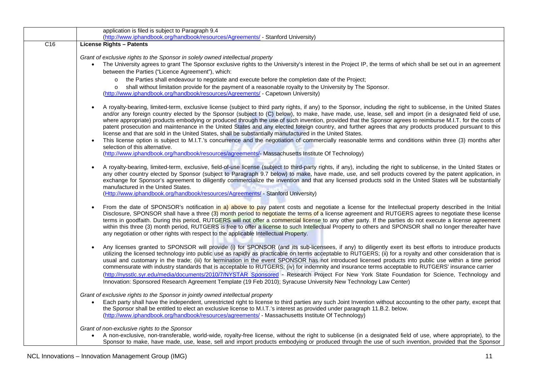<span id="page-10-0"></span>

|                  | application is filed is subject to Paragraph 9.4<br>(http://www.iphandbook.org/handbook/resources/Agreements/ - Stanford University)                                                                                                                                                                                                                                                                                                                                                                                                                                                                                                                                                                                                                                                                                                                                                                                                                                                                                                                                                 |
|------------------|--------------------------------------------------------------------------------------------------------------------------------------------------------------------------------------------------------------------------------------------------------------------------------------------------------------------------------------------------------------------------------------------------------------------------------------------------------------------------------------------------------------------------------------------------------------------------------------------------------------------------------------------------------------------------------------------------------------------------------------------------------------------------------------------------------------------------------------------------------------------------------------------------------------------------------------------------------------------------------------------------------------------------------------------------------------------------------------|
| $\overline{C16}$ | <b>License Rights - Patents</b>                                                                                                                                                                                                                                                                                                                                                                                                                                                                                                                                                                                                                                                                                                                                                                                                                                                                                                                                                                                                                                                      |
|                  | Grant of exclusive rights to the Sponsor in solely owned intellectual property<br>The University agrees to grant The Sponsor exclusive rights to the University's interest in the Project IP, the terms of which shall be set out in an agreement<br>between the Parties ("Licence Agreement"), which:<br>o the Parties shall endeavour to negotiate and execute before the completion date of the Project;<br>o shall without limitation provide for the payment of a reasonable royalty to the University by The Sponsor.<br>(http://www.iphandbook.org/handbook/resources/Agreements/ - Capetown University)                                                                                                                                                                                                                                                                                                                                                                                                                                                                      |
|                  | A royalty-bearing, limited-term, exclusive license (subject to third party rights, if any) to the Sponsor, including the right to sublicense, in the United States<br>and/or any foreign country elected by the Sponsor (subject to (C) below), to make, have made, use, lease, sell and import (in a designated field of use,<br>where appropriate) products embodying or produced through the use of such invention, provided that the Sponsor agrees to reimburse M.I.T. for the costs of<br>patent prosecution and maintenance in the United States and any elected foreign country, and further agrees that any products produced pursuant to this<br>license and that are sold in the United States, shall be substantially manufactured in the United States.<br>This license option is subject to M.I.T.'s concurrence and the negotiation of commercially reasonable terms and conditions within three (3) months after<br>$\bullet$<br>selection of this alternative.<br>(http://www.iphandbook.org/handbook/resources/agreements/- Massachusetts Institute Of Technology) |
|                  | A royalty-bearing, limited-term, exclusive, field-of-use license (subject to third-party rights, if any), including the right to sublicense, in the United States or<br>any other country elected by Sponsor (subject to Paragraph 9.7 below) to make, have made, use, and sell products covered by the patent application, in<br>exchange for Sponsor's agreement to diligently commercialize the invention and that any licensed products sold in the United States will be substantially<br>manufactured in the United States.<br>(Http://www.iphandbook.org/handbook/resources/Agreements/ - Stanford University)                                                                                                                                                                                                                                                                                                                                                                                                                                                                |
|                  | From the date of SPONSOR's notification in a) above to pay patent costs and negotiate a license for the Intellectual property described in the Initial<br>Disclosure, SPONSOR shall have a three (3) month period to negotiate the terms of a license agreement and RUTGERS agrees to negotiate these license<br>terms in goodfaith. During this period, RUTGERS will not offer a commercial license to any other party. If the parties do not execute a license agreement<br>within this three (3) month period, RUTGERS is free to offer a license to such Intellectual Property to others and SPONSOR shall no longer thereafter have<br>any negotiation or other rights with respect to the applicable Intellectual Property.                                                                                                                                                                                                                                                                                                                                                    |
|                  | Any licenses granted to SPONSOR will provide (i) for SPONSOR (and its sub-licensees, if any) to diligently exert its best efforts to introduce products<br>utilizing the licensed technology into public use as rapidly as practicable on terms acceptable to RUTGERS; (ii) for a royalty and other consideration that is<br>usual and customary in the trade; (iii) for termination in the event SPONSOR has not introduced licensed products into public use within a time period<br>commensurate with industry standards that is acceptable to RUTGERS; (iv) for indemnity and insurance terms acceptable to RUTGERS' insurance carrier<br>(http://nysstlc.syr.edu/media/documents/2010/7/NYSTAR_Sponsored - Research Project For New York State Foundation for Science, Technology and<br>Innovation: Sponsored Research Agreement Template (19 Feb 2010); Syracuse University New Technology Law Center)                                                                                                                                                                        |
|                  | Grant of exclusive rights to the Sponsor in jointly owned intellectual property<br>Each party shall have the independent, unrestricted right to license to third parties any such Joint Invention without accounting to the other party, except that<br>the Sponsor shall be entitled to elect an exclusive license to M.I.T.'s interest as provided under paragraph 11.B.2. below.<br>(http://www.iphandbook.org/handbook/resources/agreements/ - Massachusetts Institute Of Technology)                                                                                                                                                                                                                                                                                                                                                                                                                                                                                                                                                                                            |
|                  | Grant of non-exclusive rights to the Sponsor<br>A non-exclusive, non-transferable, world-wide, royalty-free license, without the right to sublicense (in a designated field of use, where appropriate), to the<br>Sponsor to make, have made, use, lease, sell and import products embodying or produced through the use of such invention, provided that the Sponsor                                                                                                                                                                                                                                                                                                                                                                                                                                                                                                                                                                                                                                                                                                                |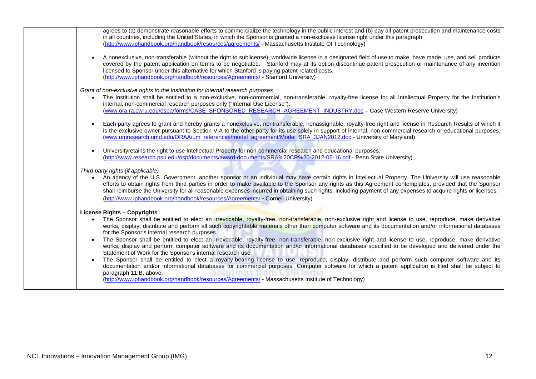| agrees to (a) demonstrate reasonable efforts to commercialize the technology in the public interest and (b) pay all patent prosecution and maintenance costs<br>in all countries, including the United States, in which the Sponsor is granted a non-exclusive license right under this paragraph<br>(http://www.iphandbook.org/handbook/resources/agreements/ - Massachusetts Institute Of Technology)                                                                                                                   |
|---------------------------------------------------------------------------------------------------------------------------------------------------------------------------------------------------------------------------------------------------------------------------------------------------------------------------------------------------------------------------------------------------------------------------------------------------------------------------------------------------------------------------|
| A nonexclusive, non-transferable (without the right to sublicense), worldwide license in a designated field of use to make, have made, use, and sell products<br>$\bullet$<br>covered by the patent application on terms to be negotiated. Stanford may at its option discontinue patent prosecution or maintenance of any invention<br>licensed to Sponsor under this alternative for which Stanford is paying patent-related costs.<br>(http://www.iphandbook.org/handbook/resources/Agreements/ - Stanford University) |
| Grant of non-exclusive rights to the Institution for internal research purposes                                                                                                                                                                                                                                                                                                                                                                                                                                           |
| The Institution shall be entitled to a non-exclusive, non-commercial, non-transferable, royalty-free license for all Intellectual Property for the Institution's<br>$\bullet$<br>internal, non-commercial research purposes only ("Internal Use License").                                                                                                                                                                                                                                                                |
| (www.ora.ra.cwru.edu/ospa/forms/CASE SPONSORED RESEARCH AGREEMENT INDUSTRY.doc - Case Western Reserve University)                                                                                                                                                                                                                                                                                                                                                                                                         |
| Each party agrees to grant and hereby grants a nonexclusive, nontransferable, nonassignable, royalty-free right and license in Research Results of which it<br>$\bullet$<br>is the exclusive owner pursuant to Section V.A to the other party for its use solely in support of internal, non-commercial research or educational purposes.<br>(www.umresearch.umd.edu/ORAA/um references/model agreement/Model SRA 3JAN2012.doc - University of Maryland)                                                                  |
| Universityretains the right to use Intellectual Property for non-commercial research and educational purposes.<br>$\bullet$<br>(http://www.research.psu.edu/osp/documents/award-documents/SRA%20CR%20-2012-06-16.pdf - Penn State University)                                                                                                                                                                                                                                                                             |
| Third party rights (if applicable)                                                                                                                                                                                                                                                                                                                                                                                                                                                                                        |
| An agency of the U.S. Government, another sponsor or an individual may have certain rights in Intellectual Property. The University will use reasonable<br>$\bullet$<br>efforts to obtain rights from third parties in order to make available to the Sponsor any rights as this Agreement contemplates, provided that the Sponsor<br>shall reimburse the University for all reasonable expenses incurred in obtaining such rights, including payment of any expenses to acquire rights or licenses.                      |
| (http://www.iphandbook.org/handbook/resources/Agreements/ - Cornell University)                                                                                                                                                                                                                                                                                                                                                                                                                                           |
| <b>License Rights - Copyrights</b>                                                                                                                                                                                                                                                                                                                                                                                                                                                                                        |
| The Sponsor shall be entitled to elect an irrevocable, royalty-free, non-transferable, non-exclusive right and license to use, reproduce, make derivative<br>$\bullet$<br>works, display, distribute and perform all such copyrightable materials other than computer software and its documentation and/or informational databases<br>for the Sponsor's internal research purposes.                                                                                                                                      |
| The Sponsor shall be entitled to elect an irrevocable, royalty-free, non-transferable, non-exclusive right and license to use, reproduce, make derivative<br>works, display and perform computer software and its documentation and/or informational databases specified to be developed and delivered under the<br>Statement of Work for the Sponsor's internal research use.                                                                                                                                            |
| The Sponsor shall be entitled to elect a royalty-bearing license to use, reproduce, display, distribute and perform such computer software and its<br>$\bullet$<br>documentation and/or informational databases for commercial purposes. Computer software for which a patent application is filed shall be subject to<br>paragraph 11.B. above.                                                                                                                                                                          |
| (http://www.iphandbook.org/handbook/resources/Agreements/ - Massachusetts Institute of Technology)                                                                                                                                                                                                                                                                                                                                                                                                                        |